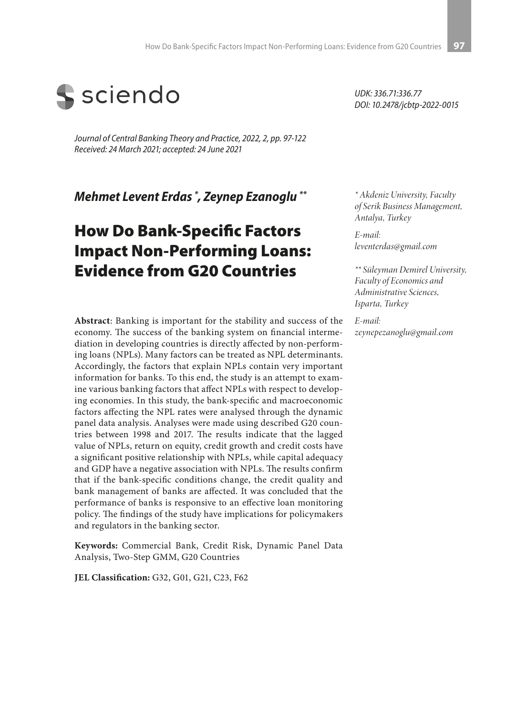

*Journal of Central Banking Theory and Practice, 2022, 2, pp. 97-122 Received: 24 March 2021; accepted: 24 June 2021*

*Mehmet Levent Erdas \* , Zeynep Ezanoglu \*\**

# How Do Bank-Specific Factors Impact Non-Performing Loans: Evidence from G20 Countries

**Abstract**: Banking is important for the stability and success of the economy. The success of the banking system on financial intermediation in developing countries is directly affected by non-performing loans (NPLs). Many factors can be treated as NPL determinants. Accordingly, the factors that explain NPLs contain very important information for banks. To this end, the study is an attempt to examine various banking factors that affect NPLs with respect to developing economies. In this study, the bank-specific and macroeconomic factors affecting the NPL rates were analysed through the dynamic panel data analysis. Analyses were made using described G20 countries between 1998 and 2017. The results indicate that the lagged value of NPLs, return on equity, credit growth and credit costs have a significant positive relationship with NPLs, while capital adequacy and GDP have a negative association with NPLs. The results confirm that if the bank-specific conditions change, the credit quality and bank management of banks are affected. It was concluded that the performance of banks is responsive to an effective loan monitoring policy. The findings of the study have implications for policymakers and regulators in the banking sector.

**Keywords:** Commercial Bank, Credit Risk, Dynamic Panel Data Analysis, Two-Step GMM, G20 Countries

**JEL Classification:** G32, G01, G21, C23, F62

*UDK: 336.71:336.77 DOI: 10.2478/jcbtp-2022-0015*

*\* Akdeniz University, Faculty of Serik Business Management, Antalya, Turkey*

*E-mail: leventerdas@gmail.com*

*\*\* Süleyman Demirel University, Faculty of Economics and Administrative Sciences, Isparta, Turkey*

*E-mail: zeynepezanoglu@gmail.com*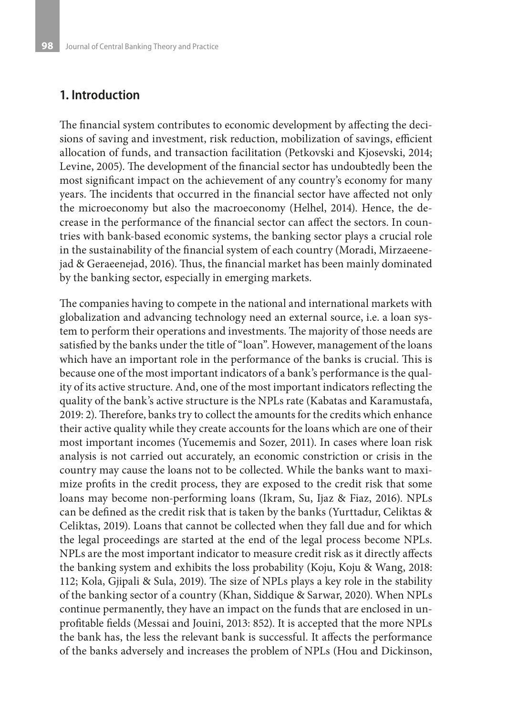#### **1. Introduction**

The financial system contributes to economic development by affecting the decisions of saving and investment, risk reduction, mobilization of savings, efficient allocation of funds, and transaction facilitation (Petkovski and Kjosevski, 2014; Levine, 2005). The development of the financial sector has undoubtedly been the most significant impact on the achievement of any country's economy for many years. The incidents that occurred in the financial sector have affected not only the microeconomy but also the macroeconomy (Helhel, 2014). Hence, the decrease in the performance of the financial sector can affect the sectors. In countries with bank-based economic systems, the banking sector plays a crucial role in the sustainability of the financial system of each country (Moradi, Mirzaeenejad & Geraeenejad, 2016). Thus, the financial market has been mainly dominated by the banking sector, especially in emerging markets.

The companies having to compete in the national and international markets with globalization and advancing technology need an external source, i.e. a loan system to perform their operations and investments. The majority of those needs are satisfied by the banks under the title of "loan". However, management of the loans which have an important role in the performance of the banks is crucial. This is because one of the most important indicators of a bank's performance is the quality of its active structure. And, one of the most important indicators reflecting the quality of the bank's active structure is the NPLs rate (Kabatas and Karamustafa, 2019: 2). Therefore, banks try to collect the amounts for the credits which enhance their active quality while they create accounts for the loans which are one of their most important incomes (Yucememis and Sozer, 2011). In cases where loan risk analysis is not carried out accurately, an economic constriction or crisis in the country may cause the loans not to be collected. While the banks want to maximize profits in the credit process, they are exposed to the credit risk that some loans may become non-performing loans (Ikram, Su, Ijaz & Fiaz, 2016). NPLs can be defined as the credit risk that is taken by the banks (Yurttadur, Celiktas & Celiktas, 2019). Loans that cannot be collected when they fall due and for which the legal proceedings are started at the end of the legal process become NPLs. NPLs are the most important indicator to measure credit risk as it directly affects the banking system and exhibits the loss probability (Koju, Koju & Wang, 2018: 112; Kola, Gjipali & Sula, 2019). The size of NPLs plays a key role in the stability of the banking sector of a country (Khan, Siddique & Sarwar, 2020). When NPLs continue permanently, they have an impact on the funds that are enclosed in unprofitable fields (Messai and Jouini, 2013: 852). It is accepted that the more NPLs the bank has, the less the relevant bank is successful. It affects the performance of the banks adversely and increases the problem of NPLs (Hou and Dickinson,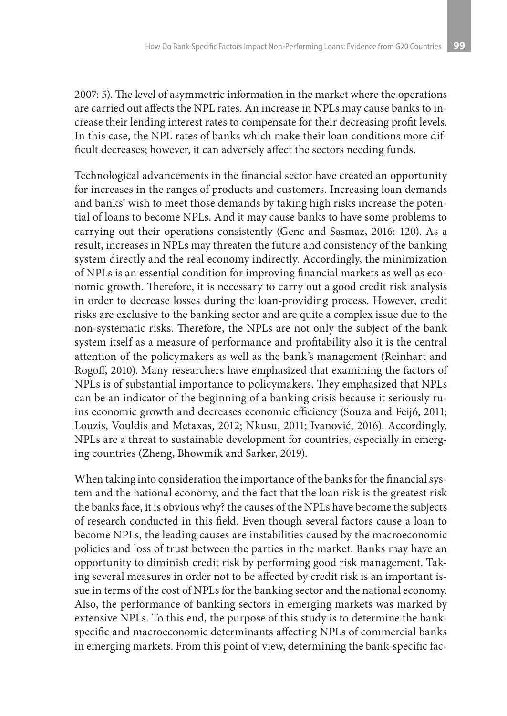2007: 5). The level of asymmetric information in the market where the operations are carried out affects the NPL rates. An increase in NPLs may cause banks to increase their lending interest rates to compensate for their decreasing profit levels. In this case, the NPL rates of banks which make their loan conditions more difficult decreases; however, it can adversely affect the sectors needing funds.

Technological advancements in the financial sector have created an opportunity for increases in the ranges of products and customers. Increasing loan demands and banks' wish to meet those demands by taking high risks increase the potential of loans to become NPLs. And it may cause banks to have some problems to carrying out their operations consistently (Genc and Sasmaz, 2016: 120). As a result, increases in NPLs may threaten the future and consistency of the banking system directly and the real economy indirectly. Accordingly, the minimization of NPLs is an essential condition for improving financial markets as well as economic growth. Therefore, it is necessary to carry out a good credit risk analysis in order to decrease losses during the loan-providing process. However, credit risks are exclusive to the banking sector and are quite a complex issue due to the non-systematic risks. Therefore, the NPLs are not only the subject of the bank system itself as a measure of performance and profitability also it is the central attention of the policymakers as well as the bank's management (Reinhart and Rogoff, 2010). Many researchers have emphasized that examining the factors of NPLs is of substantial importance to policymakers. They emphasized that NPLs can be an indicator of the beginning of a banking crisis because it seriously ruins economic growth and decreases economic efficiency (Souza and Feijó, 2011; Louzis, Vouldis and Metaxas, 2012; Nkusu, 2011; Ivanović, 2016). Accordingly, NPLs are a threat to sustainable development for countries, especially in emerging countries (Zheng, Bhowmik and Sarker, 2019).

When taking into consideration the importance of the banks for the financial system and the national economy, and the fact that the loan risk is the greatest risk the banks face, it is obvious why? the causes of the NPLs have become the subjects of research conducted in this field. Even though several factors cause a loan to become NPLs, the leading causes are instabilities caused by the macroeconomic policies and loss of trust between the parties in the market. Banks may have an opportunity to diminish credit risk by performing good risk management. Taking several measures in order not to be affected by credit risk is an important issue in terms of the cost of NPLs for the banking sector and the national economy. Also, the performance of banking sectors in emerging markets was marked by extensive NPLs. To this end, the purpose of this study is to determine the bankspecific and macroeconomic determinants affecting NPLs of commercial banks in emerging markets. From this point of view, determining the bank-specific fac-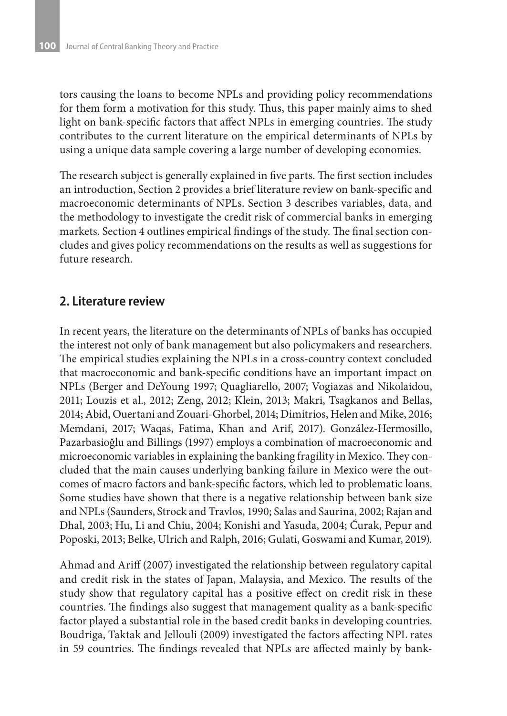tors causing the loans to become NPLs and providing policy recommendations for them form a motivation for this study. Thus, this paper mainly aims to shed light on bank-specific factors that affect NPLs in emerging countries. The study contributes to the current literature on the empirical determinants of NPLs by using a unique data sample covering a large number of developing economies.

The research subject is generally explained in five parts. The first section includes an introduction, Section 2 provides a brief literature review on bank-specific and macroeconomic determinants of NPLs. Section 3 describes variables, data, and the methodology to investigate the credit risk of commercial banks in emerging markets. Section 4 outlines empirical findings of the study. The final section concludes and gives policy recommendations on the results as well as suggestions for future research.

### **2. Literature review**

In recent years, the literature on the determinants of NPLs of banks has occupied the interest not only of bank management but also policymakers and researchers. The empirical studies explaining the NPLs in a cross-country context concluded that macroeconomic and bank-specific conditions have an important impact on NPLs (Berger and DeYoung 1997; Quagliarello, 2007; Vogiazas and Nikolaidou, 2011; Louzis et al., 2012; Zeng, 2012; Klein, 2013; Makri, Tsagkanos and Bellas, 2014; Abid, Ouertani and Zouari-Ghorbel, 2014; Dimitrios, Helen and Mike, 2016; Memdani, 2017; Waqas, Fatima, Khan and Arif, 2017). González-Hermosillo, Pazarbasioğlu and Billings (1997) employs a combination of macroeconomic and microeconomic variables in explaining the banking fragility in Mexico. They concluded that the main causes underlying banking failure in Mexico were the outcomes of macro factors and bank-specific factors, which led to problematic loans. Some studies have shown that there is a negative relationship between bank size and NPLs (Saunders, Strock and Travlos, 1990; Salas and Saurina, 2002; Rajan and Dhal, 2003; Hu, Li and Chiu, 2004; Konishi and Yasuda, 2004; Ćurak, Pepur and Poposki, 2013; Belke, Ulrich and Ralph, 2016; Gulati, Goswami and Kumar, 2019).

Ahmad and Ariff (2007) investigated the relationship between regulatory capital and credit risk in the states of Japan, Malaysia, and Mexico. The results of the study show that regulatory capital has a positive effect on credit risk in these countries. The findings also suggest that management quality as a bank-specific factor played a substantial role in the based credit banks in developing countries. Boudriga, Taktak and Jellouli (2009) investigated the factors affecting NPL rates in 59 countries. The findings revealed that NPLs are affected mainly by bank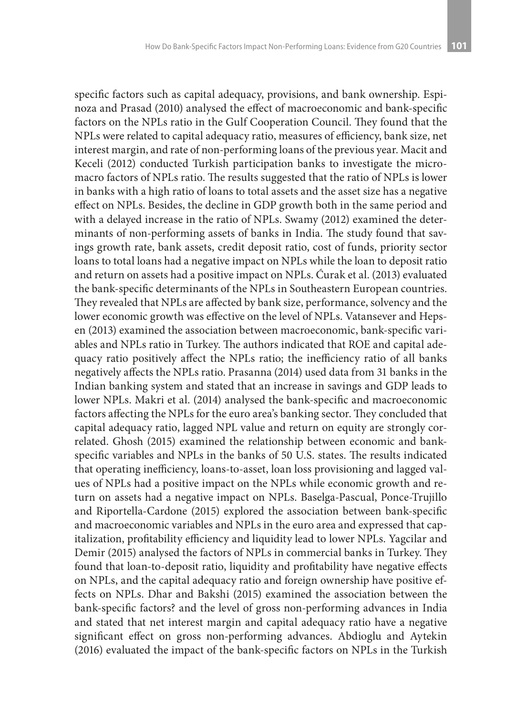specific factors such as capital adequacy, provisions, and bank ownership. Espinoza and Prasad (2010) analysed the effect of macroeconomic and bank-specific factors on the NPLs ratio in the Gulf Cooperation Council. They found that the NPLs were related to capital adequacy ratio, measures of efficiency, bank size, net interest margin, and rate of non-performing loans of the previous year. Macit and Keceli (2012) conducted Turkish participation banks to investigate the micromacro factors of NPLs ratio. The results suggested that the ratio of NPLs is lower in banks with a high ratio of loans to total assets and the asset size has a negative effect on NPLs. Besides, the decline in GDP growth both in the same period and with a delayed increase in the ratio of NPLs. Swamy (2012) examined the determinants of non-performing assets of banks in India. The study found that savings growth rate, bank assets, credit deposit ratio, cost of funds, priority sector loans to total loans had a negative impact on NPLs while the loan to deposit ratio and return on assets had a positive impact on NPLs. Ćurak et al. (2013) evaluated the bank-specific determinants of the NPLs in Southeastern European countries. They revealed that NPLs are affected by bank size, performance, solvency and the lower economic growth was effective on the level of NPLs. Vatansever and Hepsen (2013) examined the association between macroeconomic, bank-specific variables and NPLs ratio in Turkey. The authors indicated that ROE and capital adequacy ratio positively affect the NPLs ratio; the inefficiency ratio of all banks negatively affects the NPLs ratio. Prasanna (2014) used data from 31 banks in the Indian banking system and stated that an increase in savings and GDP leads to lower NPLs. Makri et al. (2014) analysed the bank-specific and macroeconomic factors affecting the NPLs for the euro area's banking sector. They concluded that capital adequacy ratio, lagged NPL value and return on equity are strongly correlated. Ghosh (2015) examined the relationship between economic and bankspecific variables and NPLs in the banks of 50 U.S. states. The results indicated that operating inefficiency, loans-to-asset, loan loss provisioning and lagged values of NPLs had a positive impact on the NPLs while economic growth and return on assets had a negative impact on NPLs. Baselga-Pascual, Ponce-Trujillo and Riportella-Cardone (2015) explored the association between bank-specific and macroeconomic variables and NPLs in the euro area and expressed that capitalization, profitability efficiency and liquidity lead to lower NPLs. Yagcilar and Demir (2015) analysed the factors of NPLs in commercial banks in Turkey. They found that loan-to-deposit ratio, liquidity and profitability have negative effects on NPLs, and the capital adequacy ratio and foreign ownership have positive effects on NPLs. Dhar and Bakshi (2015) examined the association between the bank-specific factors? and the level of gross non-performing advances in India and stated that net interest margin and capital adequacy ratio have a negative significant effect on gross non-performing advances. Abdioglu and Aytekin (2016) evaluated the impact of the bank-specific factors on NPLs in the Turkish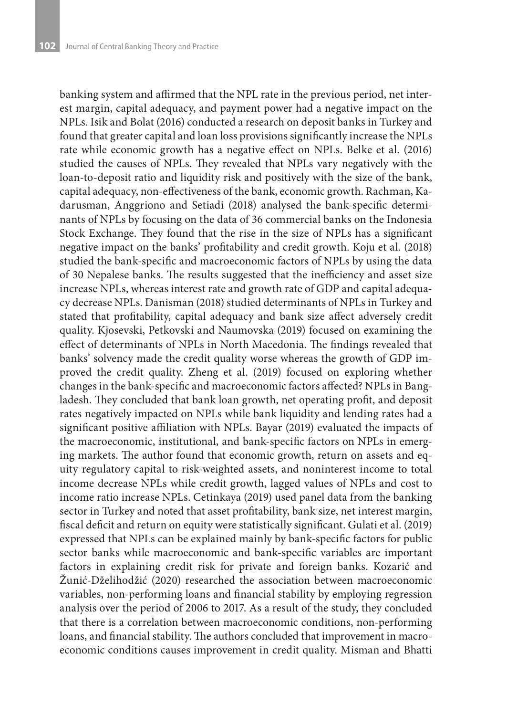banking system and affirmed that the NPL rate in the previous period, net interest margin, capital adequacy, and payment power had a negative impact on the NPLs. Isik and Bolat (2016) conducted a research on deposit banks in Turkey and found that greater capital and loan loss provisions significantly increase the NPLs rate while economic growth has a negative effect on NPLs. Belke et al. (2016) studied the causes of NPLs. They revealed that NPLs vary negatively with the loan-to-deposit ratio and liquidity risk and positively with the size of the bank, capital adequacy, non-effectiveness of the bank, economic growth. Rachman, Kadarusman, Anggriono and Setiadi (2018) analysed the bank-specific determinants of NPLs by focusing on the data of 36 commercial banks on the Indonesia Stock Exchange. They found that the rise in the size of NPLs has a significant negative impact on the banks' profitability and credit growth. Koju et al. (2018) studied the bank-specific and macroeconomic factors of NPLs by using the data of 30 Nepalese banks. The results suggested that the inefficiency and asset size increase NPLs, whereas interest rate and growth rate of GDP and capital adequacy decrease NPLs. Danisman (2018) studied determinants of NPLs in Turkey and stated that profitability, capital adequacy and bank size affect adversely credit quality. Kjosevski, Petkovski and Naumovska (2019) focused on examining the effect of determinants of NPLs in North Macedonia. The findings revealed that banks' solvency made the credit quality worse whereas the growth of GDP improved the credit quality. Zheng et al. (2019) focused on exploring whether changes in the bank-specific and macroeconomic factors affected? NPLs in Bangladesh. They concluded that bank loan growth, net operating profit, and deposit rates negatively impacted on NPLs while bank liquidity and lending rates had a significant positive affiliation with NPLs. Bayar (2019) evaluated the impacts of the macroeconomic, institutional, and bank-specific factors on NPLs in emerging markets. The author found that economic growth, return on assets and equity regulatory capital to risk-weighted assets, and noninterest income to total income decrease NPLs while credit growth, lagged values of NPLs and cost to income ratio increase NPLs. Cetinkaya (2019) used panel data from the banking sector in Turkey and noted that asset profitability, bank size, net interest margin, fiscal deficit and return on equity were statistically significant. Gulati et al. (2019) expressed that NPLs can be explained mainly by bank-specific factors for public sector banks while macroeconomic and bank-specific variables are important factors in explaining credit risk for private and foreign banks. Kozarić and Žunić-Dželihodžić (2020) researched the association between macroeconomic variables, non-performing loans and financial stability by employing regression analysis over the period of 2006 to 2017. As a result of the study, they concluded that there is a correlation between macroeconomic conditions, non-performing loans, and financial stability. The authors concluded that improvement in macroeconomic conditions causes improvement in credit quality. Misman and Bhatti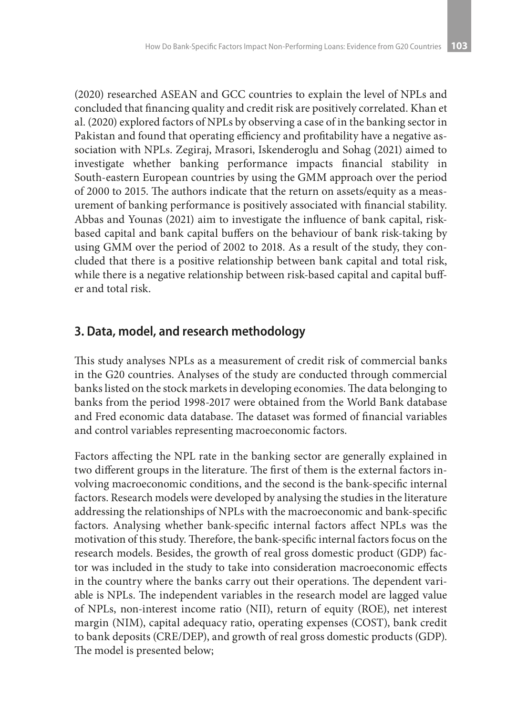(2020) researched ASEAN and GCC countries to explain the level of NPLs and concluded that financing quality and credit risk are positively correlated. Khan et al. (2020) explored factors of NPLs by observing a case of in the banking sector in Pakistan and found that operating efficiency and profitability have a negative association with NPLs. Zegiraj, Mrasori, Iskenderoglu and Sohag (2021) aimed to investigate whether banking performance impacts financial stability in South-eastern European countries by using the GMM approach over the period of 2000 to 2015. The authors indicate that the return on assets/equity as a measurement of banking performance is positively associated with financial stability. Abbas and Younas (2021) aim to investigate the influence of bank capital, riskbased capital and bank capital buffers on the behaviour of bank risk-taking by using GMM over the period of 2002 to 2018. As a result of the study, they concluded that there is a positive relationship between bank capital and total risk, while there is a negative relationship between risk-based capital and capital buffer and total risk.

### **3. Data, model, and research methodology**

This study analyses NPLs as a measurement of credit risk of commercial banks in the G20 countries. Analyses of the study are conducted through commercial banks listed on the stock markets in developing economies. The data belonging to banks from the period 1998-2017 were obtained from the World Bank database and Fred economic data database. The dataset was formed of financial variables and control variables representing macroeconomic factors.

Factors affecting the NPL rate in the banking sector are generally explained in two different groups in the literature. The first of them is the external factors involving macroeconomic conditions, and the second is the bank-specific internal factors. Research models were developed by analysing the studies in the literature addressing the relationships of NPLs with the macroeconomic and bank-specific factors. Analysing whether bank-specific internal factors affect NPLs was the motivation of this study. Therefore, the bank-specific internal factors focus on the research models. Besides, the growth of real gross domestic product (GDP) factor was included in the study to take into consideration macroeconomic effects in the country where the banks carry out their operations. The dependent variable is NPLs. The independent variables in the research model are lagged value of NPLs, non-interest income ratio (NII), return of equity (ROE), net interest margin (NIM), capital adequacy ratio, operating expenses (COST), bank credit to bank deposits (CRE/DEP), and growth of real gross domestic products (GDP). The model is presented below;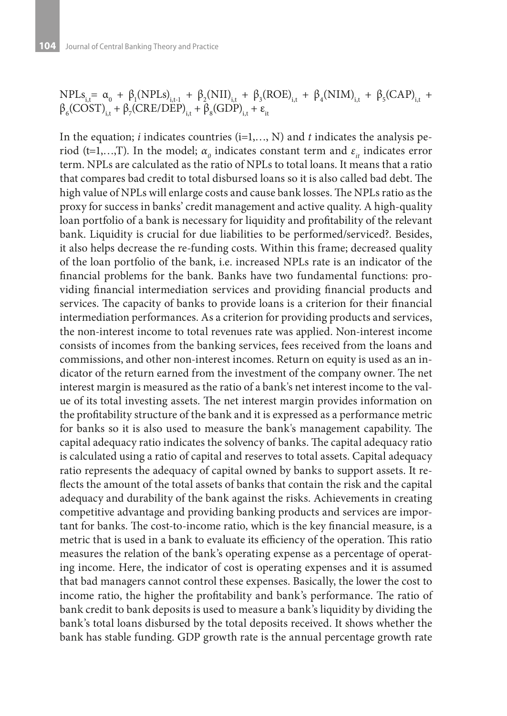$NPLS_{i,t} = \alpha_0 + \beta_1(NPLS)_{i,t-1} + \beta_2(NII)_{i,t} + \beta_3(ROE)_{i,t} + \beta_4(NIM)_{i,t} + \beta_5(CAP)_{i,t} +$  $\beta_{6}(\text{COST})_{i,t} + \beta_{7}(\text{CRE/DEP})_{i,t} + \beta_{8}(\text{GDP})_{i,t} + \varepsilon_{it}$ 

In the equation; *i* indicates countries (i=1,…, N) and *t* indicates the analysis period (t=1,...,T). In the model;  $\alpha_o$  indicates constant term and  $\varepsilon_{it}$  indicates error term. NPLs are calculated as the ratio of NPLs to total loans. It means that a ratio that compares bad credit to total disbursed loans so it is also called bad debt. The high value of NPLs will enlarge costs and cause bank losses. The NPLs ratio as the proxy for success in banks' credit management and active quality. A high-quality loan portfolio of a bank is necessary for liquidity and profitability of the relevant bank. Liquidity is crucial for due liabilities to be performed/serviced?. Besides, it also helps decrease the re-funding costs. Within this frame; decreased quality of the loan portfolio of the bank, i.e. increased NPLs rate is an indicator of the financial problems for the bank. Banks have two fundamental functions: providing financial intermediation services and providing financial products and services. The capacity of banks to provide loans is a criterion for their financial intermediation performances. As a criterion for providing products and services, the non-interest income to total revenues rate was applied. Non-interest income consists of incomes from the banking services, fees received from the loans and commissions, and other non-interest incomes. Return on equity is used as an indicator of the return earned from the investment of the company owner. The net interest margin is measured as the ratio of a bank's net interest income to the value of its total investing assets. The net interest margin provides information on the profitability structure of the bank and it is expressed as a performance metric for banks so it is also used to measure the bank's management capability. The capital adequacy ratio indicates the solvency of banks. The capital adequacy ratio is calculated using a ratio of capital and reserves to total assets. Capital adequacy ratio represents the adequacy of capital owned by banks to support assets. It reflects the amount of the total assets of banks that contain the risk and the capital adequacy and durability of the bank against the risks. Achievements in creating competitive advantage and providing banking products and services are important for banks. The cost-to-income ratio, which is the key financial measure, is a metric that is used in a bank to evaluate its efficiency of the operation. This ratio measures the relation of the bank's operating expense as a percentage of operating income. Here, the indicator of cost is operating expenses and it is assumed that bad managers cannot control these expenses. Basically, the lower the cost to income ratio, the higher the profitability and bank's performance. The ratio of bank credit to bank deposits is used to measure a bank's liquidity by dividing the bank's total loans disbursed by the total deposits received. It shows whether the bank has stable funding. GDP growth rate is the annual percentage growth rate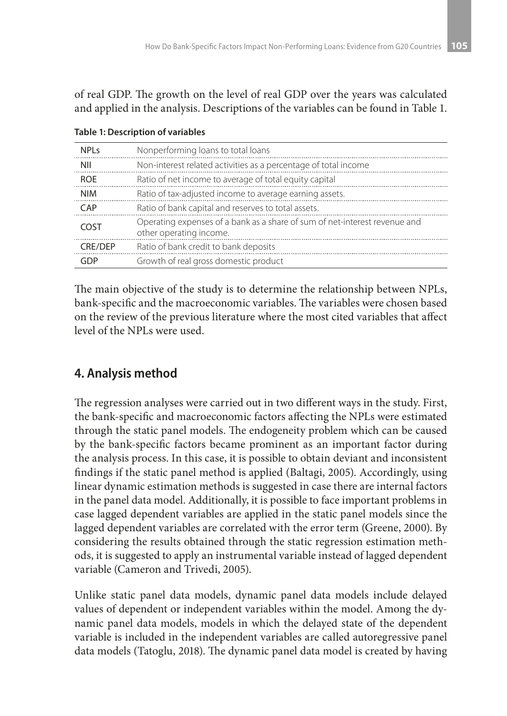of real GDP. The growth on the level of real GDP over the years was calculated and applied in the analysis. Descriptions of the variables can be found in Table 1.

| <b>NPLs</b>    | Nonperforming loans to total loans                                                                    |
|----------------|-------------------------------------------------------------------------------------------------------|
| <b>NII</b>     | Non-interest related activities as a percentage of total income                                       |
| <b>ROE</b>     | Ratio of net income to average of total equity capital                                                |
| <b>NIM</b>     | Ratio of tax-adjusted income to average earning assets.                                               |
| CAP            | Ratio of bank capital and reserves to total assets.                                                   |
| COST           | Operating expenses of a bank as a share of sum of net-interest revenue and<br>other operating income. |
| <b>CRE/DEP</b> | Ratio of bank credit to bank deposits                                                                 |
| GDP            | Growth of real gross domestic product                                                                 |

#### **Table 1: Description of variables**

The main objective of the study is to determine the relationship between NPLs, bank-specific and the macroeconomic variables. The variables were chosen based on the review of the previous literature where the most cited variables that affect level of the NPLs were used.

## **4. Analysis method**

The regression analyses were carried out in two different ways in the study. First, the bank-specific and macroeconomic factors affecting the NPLs were estimated through the static panel models. The endogeneity problem which can be caused by the bank-specific factors became prominent as an important factor during the analysis process. In this case, it is possible to obtain deviant and inconsistent findings if the static panel method is applied (Baltagi, 2005). Accordingly, using linear dynamic estimation methods is suggested in case there are internal factors in the panel data model. Additionally, it is possible to face important problems in case lagged dependent variables are applied in the static panel models since the lagged dependent variables are correlated with the error term (Greene, 2000). By considering the results obtained through the static regression estimation methods, it is suggested to apply an instrumental variable instead of lagged dependent variable (Cameron and Trivedi, 2005).

Unlike static panel data models, dynamic panel data models include delayed values of dependent or independent variables within the model. Among the dynamic panel data models, models in which the delayed state of the dependent variable is included in the independent variables are called autoregressive panel data models (Tatoglu, 2018). The dynamic panel data model is created by having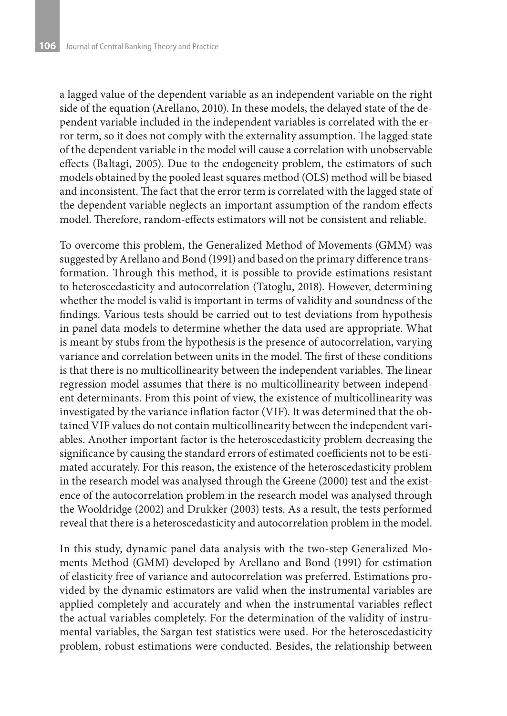a lagged value of the dependent variable as an independent variable on the right side of the equation (Arellano, 2010). In these models, the delayed state of the dependent variable included in the independent variables is correlated with the error term, so it does not comply with the externality assumption. The lagged state of the dependent variable in the model will cause a correlation with unobservable effects (Baltagi, 2005). Due to the endogeneity problem, the estimators of such models obtained by the pooled least squares method (OLS) method will be biased and inconsistent. The fact that the error term is correlated with the lagged state of the dependent variable neglects an important assumption of the random effects model. Therefore, random-effects estimators will not be consistent and reliable.

To overcome this problem, the Generalized Method of Movements (GMM) was suggested by Arellano and Bond (1991) and based on the primary difference transformation. Through this method, it is possible to provide estimations resistant to heteroscedasticity and autocorrelation (Tatoglu, 2018). However, determining whether the model is valid is important in terms of validity and soundness of the findings. Various tests should be carried out to test deviations from hypothesis in panel data models to determine whether the data used are appropriate. What is meant by stubs from the hypothesis is the presence of autocorrelation, varying variance and correlation between units in the model. The first of these conditions is that there is no multicollinearity between the independent variables. The linear regression model assumes that there is no multicollinearity between independent determinants. From this point of view, the existence of multicollinearity was investigated by the variance inflation factor (VIF). It was determined that the obtained VIF values do not contain multicollinearity between the independent variables. Another important factor is the heteroscedasticity problem decreasing the significance by causing the standard errors of estimated coefficients not to be estimated accurately. For this reason, the existence of the heteroscedasticity problem in the research model was analysed through the Greene (2000) test and the existence of the autocorrelation problem in the research model was analysed through the Wooldridge (2002) and Drukker (2003) tests. As a result, the tests performed reveal that there is a heteroscedasticity and autocorrelation problem in the model.

In this study, dynamic panel data analysis with the two-step Generalized Moments Method (GMM) developed by Arellano and Bond (1991) for estimation of elasticity free of variance and autocorrelation was preferred. Estimations provided by the dynamic estimators are valid when the instrumental variables are applied completely and accurately and when the instrumental variables reflect the actual variables completely. For the determination of the validity of instrumental variables, the Sargan test statistics were used. For the heteroscedasticity problem, robust estimations were conducted. Besides, the relationship between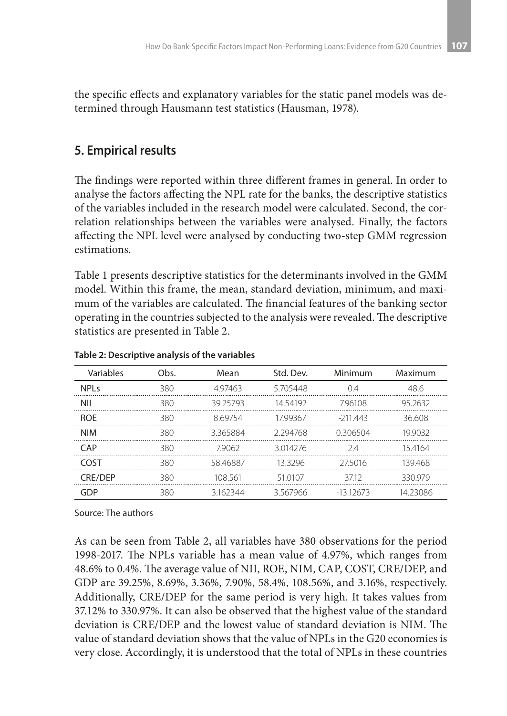the specific effects and explanatory variables for the static panel models was determined through Hausmann test statistics (Hausman, 1978).

## **5. Empirical results**

The findings were reported within three different frames in general. In order to analyse the factors affecting the NPL rate for the banks, the descriptive statistics of the variables included in the research model were calculated. Second, the correlation relationships between the variables were analysed. Finally, the factors affecting the NPL level were analysed by conducting two-step GMM regression estimations.

Table 1 presents descriptive statistics for the determinants involved in the GMM model. Within this frame, the mean, standard deviation, minimum, and maximum of the variables are calculated. The financial features of the banking sector operating in the countries subjected to the analysis were revealed. The descriptive statistics are presented in Table 2.

| Variables      | Obs. | Mean     | Std. Dev. | Minimum    | Maximum  |  |
|----------------|------|----------|-----------|------------|----------|--|
| NPI s          | 380  | 497463   | 5705448   | 0.4        | 48.6     |  |
| NII            | 380  | 3925793  | 14 54192  | 796108     | 95 2632  |  |
| <b>ROF</b>     | 380  | 869754   | 1799367   | $-211.443$ | 36.608   |  |
| <b>NIM</b>     | 380  | 3365884  | 2294768   | 0.306504   | 19.9032  |  |
| CAP            | 380  | 79062    | 3014276   | 24         | 154164   |  |
| COST           | 380  | 58.46887 | 133296    | 275016     | 139468   |  |
| <b>CRE/DEP</b> | 380  | 108 561  | 51 0107   | 3712       | 330979   |  |
| GDP            | 380  | 3162344  | 3.567966  | $-1312673$ | 14.23086 |  |

**Table 2: Descriptive analysis of the variables**

Source: The authors

As can be seen from Table 2, all variables have 380 observations for the period 1998-2017. The NPLs variable has a mean value of 4.97%, which ranges from 48.6% to 0.4%. The average value of NII, ROE, NIM, CAP, COST, CRE/DEP, and GDP are 39.25%, 8.69%, 3.36%, 7.90%, 58.4%, 108.56%, and 3.16%, respectively. Additionally, CRE/DEP for the same period is very high. It takes values from 37.12% to 330.97%. It can also be observed that the highest value of the standard deviation is CRE/DEP and the lowest value of standard deviation is NIM. The value of standard deviation shows that the value of NPLs in the G20 economies is very close. Accordingly, it is understood that the total of NPLs in these countries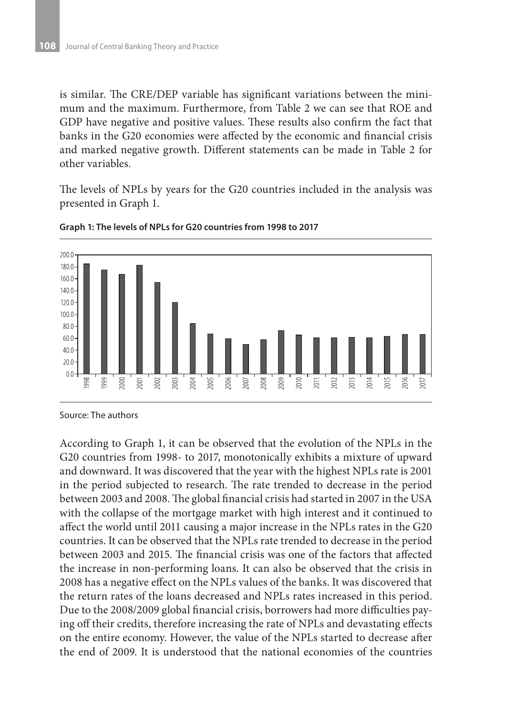is similar. The CRE/DEP variable has significant variations between the minimum and the maximum. Furthermore, from Table 2 we can see that ROE and GDP have negative and positive values. These results also confirm the fact that banks in the G20 economies were affected by the economic and financial crisis and marked negative growth. Different statements can be made in Table 2 for other variables.

The levels of NPLs by years for the G20 countries included in the analysis was presented in Graph 1.



**Graph 1: The levels of NPLs for G20 countries from 1998 to 2017**

According to Graph 1, it can be observed that the evolution of the NPLs in the G20 countries from 1998- to 2017, monotonically exhibits a mixture of upward and downward. It was discovered that the year with the highest NPLs rate is 2001 in the period subjected to research. The rate trended to decrease in the period between 2003 and 2008. The global financial crisis had started in 2007 in the USA with the collapse of the mortgage market with high interest and it continued to affect the world until 2011 causing a major increase in the NPLs rates in the G20 countries. It can be observed that the NPLs rate trended to decrease in the period between 2003 and 2015. The financial crisis was one of the factors that affected the increase in non-performing loans. It can also be observed that the crisis in 2008 has a negative effect on the NPLs values of the banks. It was discovered that the return rates of the loans decreased and NPLs rates increased in this period. Due to the 2008/2009 global financial crisis, borrowers had more difficulties paying off their credits, therefore increasing the rate of NPLs and devastating effects on the entire economy. However, the value of the NPLs started to decrease after the end of 2009. It is understood that the national economies of the countries

Source: The authors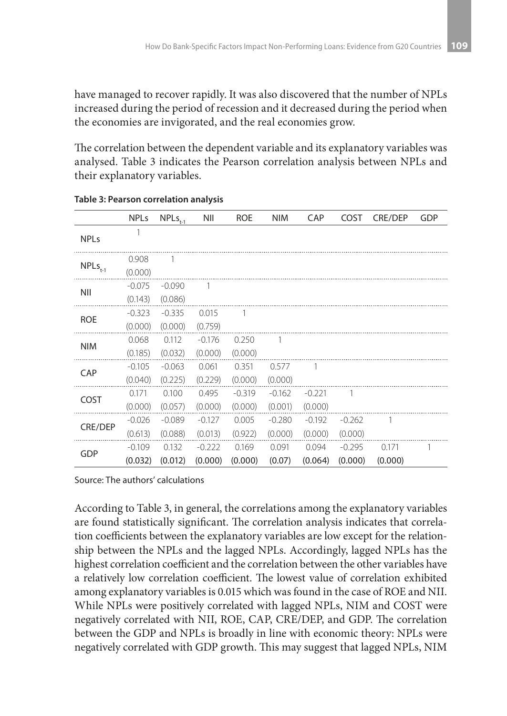have managed to recover rapidly. It was also discovered that the number of NPLs increased during the period of recession and it decreased during the period when the economies are invigorated, and the real economies grow.

The correlation between the dependent variable and its explanatory variables was analysed. Table 3 indicates the Pearson correlation analysis between NPLs and their explanatory variables.

|                | <b>NPLs</b>         | $NPLs_{t-1}$        | NII                 | <b>ROE</b>          | <b>NIM</b>          | CAP                 | COST                | <b>CRE/DEP</b>   | GDP |
|----------------|---------------------|---------------------|---------------------|---------------------|---------------------|---------------------|---------------------|------------------|-----|
| <b>NPLs</b>    |                     |                     |                     |                     |                     |                     |                     |                  |     |
| $NPLs_{t-1}$   | 0.908<br>(0.000)    | -1                  |                     |                     |                     |                     |                     |                  |     |
| NII            | $-0.075$<br>(0.143) | $-0.090$<br>(0.086) | $\overline{1}$      |                     |                     |                     |                     |                  |     |
| <b>ROE</b>     | $-0.323$<br>(0.000) | $-0.335$<br>(0.000) | 0.015<br>(0.759)    | 1                   |                     |                     |                     |                  |     |
| <b>NIM</b>     | 0.068<br>(0.185)    | 0.112<br>(0.032)    | $-0.176$<br>(0.000) | 0.250<br>(0.000)    | 1                   |                     |                     |                  |     |
| CAP            | $-0.105$<br>(0.040) | $-0.063$<br>(0.225) | 0.061<br>(0.229)    | 0.351<br>(0.000)    | 0.577<br>(0.000)    | 1                   |                     |                  |     |
| COST           | 0.171<br>(0.000)    | 0.100<br>(0.057)    | 0.495<br>(0.000)    | $-0.319$<br>(0.000) | $-0.162$<br>(0.001) | $-0.221$<br>(0.000) | 1                   |                  |     |
| <b>CRE/DEP</b> | $-0.026$<br>(0.613) | $-0.089$<br>(0.088) | $-0.127$<br>(0.013) | 0.005<br>(0.922)    | $-0.280$<br>(0.000) | $-0.192$<br>(0.000) | $-0.262$<br>(0.000) | 1                |     |
| GDP            | $-0.109$<br>(0.032) | 0.132<br>(0.012)    | $-0.222$<br>(0.000) | 0.169<br>(0.000)    | 0.091<br>(0.07)     | 0.094<br>(0.064)    | $-0.295$<br>(0.000) | 0.171<br>(0.000) |     |

**Table 3: Pearson correlation analysis**

Source: The authors' calculations

According to Table 3, in general, the correlations among the explanatory variables are found statistically significant. The correlation analysis indicates that correlation coefficients between the explanatory variables are low except for the relationship between the NPLs and the lagged NPLs. Accordingly, lagged NPLs has the highest correlation coefficient and the correlation between the other variables have a relatively low correlation coefficient. The lowest value of correlation exhibited among explanatory variables is 0.015 which was found in the case of ROE and NII. While NPLs were positively correlated with lagged NPLs, NIM and COST were negatively correlated with NII, ROE, CAP, CRE/DEP, and GDP. The correlation between the GDP and NPLs is broadly in line with economic theory: NPLs were negatively correlated with GDP growth. This may suggest that lagged NPLs, NIM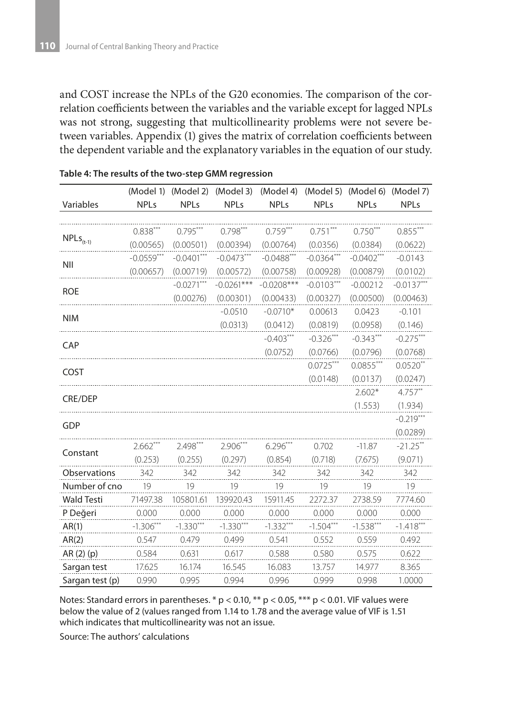and COST increase the NPLs of the G20 economies. The comparison of the correlation coefficients between the variables and the variable except for lagged NPLs was not strong, suggesting that multicollinearity problems were not severe between variables. Appendix (1) gives the matrix of correlation coefficients between the dependent variable and the explanatory variables in the equation of our study.

|                   | (Model 1)    | (Model 2)    | (Model 3)    | (Model 4)    | (Model 5)    | (Model 6)    | (Model 7)    |
|-------------------|--------------|--------------|--------------|--------------|--------------|--------------|--------------|
| Variables         | <b>NPLs</b>  | <b>NPLs</b>  | <b>NPLs</b>  | <b>NPLs</b>  | <b>NPLs</b>  | <b>NPLs</b>  | <b>NPLs</b>  |
|                   |              |              |              |              |              |              |              |
| $NPLS_{(t-1)}$    | $0.838***$   | $0.795***$   | $0.798***$   | $0.759***$   | $0.751***$   | $0.750***$   | $0.855***$   |
|                   | (0.00565)    | (0.00501)    | (0.00394)    | (0.00764)    | (0.0356)     | (0.0384)     | (0.0622)     |
| NII               | $-0.0559***$ | $-0.0401***$ | $-0.0473***$ | $-0.0488***$ | $-0.0364***$ | $-0.0402***$ | $-0.0143$    |
|                   | (0.00657)    | (0.00719)    | (0.00572)    | (0.00758)    | (0.00928)    | (0.00879)    | (0.0102)     |
| <b>ROE</b>        |              | $-0.0271***$ | $-0.0261***$ | $-0.0208***$ | $-0.0103***$ | $-0.00212$   | $-0.0137***$ |
|                   |              | (0.00276)    | (0.00301)    | (0.00433)    | (0.00327)    | (0.00500)    | (0.00463)    |
| <b>NIM</b>        |              |              | $-0.0510$    | $-0.0710*$   | 0.00613      | 0.0423       | $-0.101$     |
|                   |              |              | (0.0313)     | (0.0412)     | (0.0819)     | (0.0958)     | (0.146)      |
| CAP               |              |              |              | $-0.403***$  | $-0.326***$  | $-0.343***$  | $-0.275***$  |
|                   |              |              |              | (0.0752)     | (0.0766)     | (0.0796)     | (0.0768)     |
| COST              |              |              |              |              | $0.0725***$  | $0.0855***$  | $0.0520**$   |
|                   |              |              |              |              | (0.0148)     | (0.0137)     | (0.0247)     |
| <b>CRE/DEP</b>    |              |              |              |              |              | $2.602*$     | $4.757**$    |
|                   |              |              |              |              |              | (1.553)      | (1.934)      |
| <b>GDP</b>        |              |              |              |              |              |              | $-0.219***$  |
|                   |              |              |              |              |              |              | (0.0289)     |
| Constant          | $2.662***$   | $2.498***$   | $2.906***$   | $6.296***$   | 0.702        | $-11.87$     | $-21.25**$   |
|                   | (0.253)      | (0.255)      | (0.297)      | (0.854)      | (0.718)      | (7.675)      | (9.071)      |
| Observations      | 342          | 342          | 342          | 342          | 342          | 342          | 342          |
| Number of cno     | 19           | 19           | 19           | 19           | 19           | 19           | 19           |
| <b>Wald Testi</b> | 71497.38     | 105801.61    | 139920.43    | 15911.45     | 2272.37      | 2738.59      | 7774.60      |
| P Değeri          | 0.000        | 0.000        | 0.000        | 0.000        | 0.000        | 0.000        | 0.000        |
| AR(1)             | $-1.306***$  | $-1.330***$  | $-1.330***$  | $-1.332***$  | $-1.504***$  | $-1.538***$  | $-1.418***$  |
| AR(2)             | 0.547        | 0.479        | 0.499        | 0.541        | 0.552        | 0.559        | 0.492        |
| AR (2) (p)        | 0.584        | 0.631        | 0.617        | 0.588        | 0.580        | 0.575        | 0.622        |
| Sargan test       | 17.625       | 16.174       | 16.545       | 16.083       | 13.757       | 14.977       | 8.365        |
| Sargan test (p)   | 0.990        | 0.995        | 0.994        | 0.996        | 0.999        | 0.998        | 1.0000       |

#### **Table 4: The results of the two-step GMM regression**

Notes: Standard errors in parentheses.  $*$  p < 0.10,  $**$  p < 0.05,  $***$  p < 0.01. VIF values were below the value of 2 (values ranged from 1.14 to 1.78 and the average value of VIF is 1.51 which indicates that multicollinearity was not an issue.

Source: The authors' calculations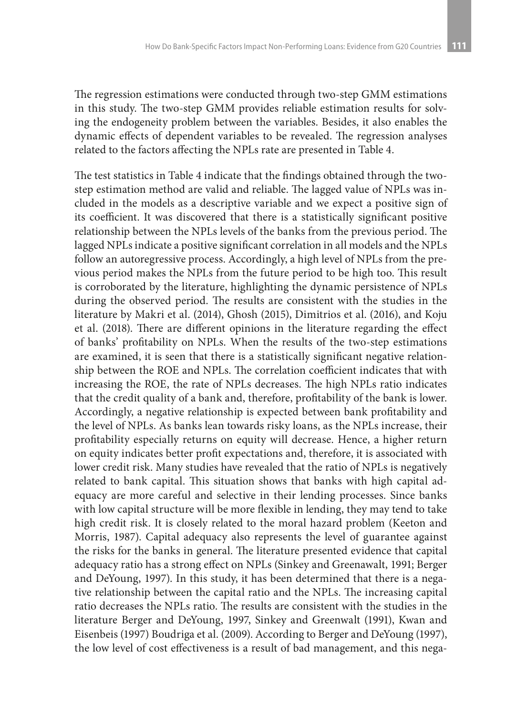The regression estimations were conducted through two-step GMM estimations in this study. The two-step GMM provides reliable estimation results for solving the endogeneity problem between the variables. Besides, it also enables the dynamic effects of dependent variables to be revealed. The regression analyses related to the factors affecting the NPLs rate are presented in Table 4.

The test statistics in Table 4 indicate that the findings obtained through the twostep estimation method are valid and reliable. The lagged value of NPLs was included in the models as a descriptive variable and we expect a positive sign of its coefficient. It was discovered that there is a statistically significant positive relationship between the NPLs levels of the banks from the previous period. The lagged NPLs indicate a positive significant correlation in all models and the NPLs follow an autoregressive process. Accordingly, a high level of NPLs from the previous period makes the NPLs from the future period to be high too. This result is corroborated by the literature, highlighting the dynamic persistence of NPLs during the observed period. The results are consistent with the studies in the literature by Makri et al. (2014), Ghosh (2015), Dimitrios et al. (2016), and Koju et al. (2018). There are different opinions in the literature regarding the effect of banks' profitability on NPLs. When the results of the two-step estimations are examined, it is seen that there is a statistically significant negative relationship between the ROE and NPLs. The correlation coefficient indicates that with increasing the ROE, the rate of NPLs decreases. The high NPLs ratio indicates that the credit quality of a bank and, therefore, profitability of the bank is lower. Accordingly, a negative relationship is expected between bank profitability and the level of NPLs. As banks lean towards risky loans, as the NPLs increase, their profitability especially returns on equity will decrease. Hence, a higher return on equity indicates better profit expectations and, therefore, it is associated with lower credit risk. Many studies have revealed that the ratio of NPLs is negatively related to bank capital. This situation shows that banks with high capital adequacy are more careful and selective in their lending processes. Since banks with low capital structure will be more flexible in lending, they may tend to take high credit risk. It is closely related to the moral hazard problem (Keeton and Morris, 1987). Capital adequacy also represents the level of guarantee against the risks for the banks in general. The literature presented evidence that capital adequacy ratio has a strong effect on NPLs (Sinkey and Greenawalt, 1991; Berger and DeYoung, 1997). In this study, it has been determined that there is a negative relationship between the capital ratio and the NPLs. The increasing capital ratio decreases the NPLs ratio. The results are consistent with the studies in the literature Berger and DeYoung, 1997, Sinkey and Greenwalt (1991), Kwan and Eisenbeis (1997) Boudriga et al. (2009). According to Berger and DeYoung (1997), the low level of cost effectiveness is a result of bad management, and this nega-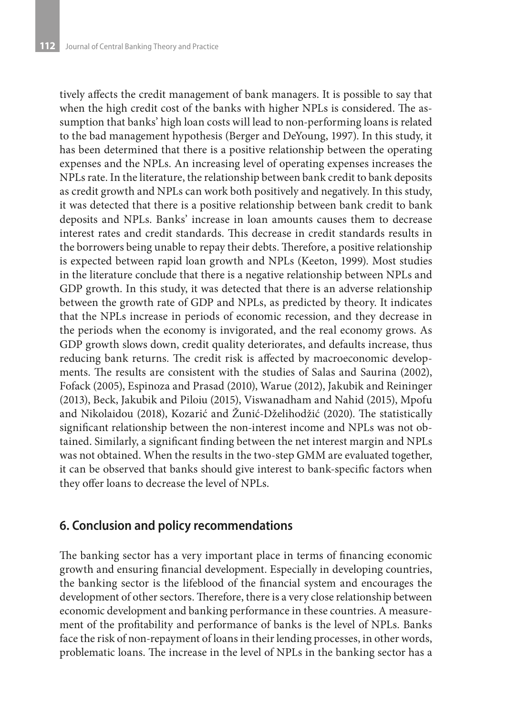tively affects the credit management of bank managers. It is possible to say that when the high credit cost of the banks with higher NPLs is considered. The assumption that banks' high loan costs will lead to non-performing loans is related to the bad management hypothesis (Berger and DeYoung, 1997). In this study, it has been determined that there is a positive relationship between the operating expenses and the NPLs. An increasing level of operating expenses increases the NPLs rate. In the literature, the relationship between bank credit to bank deposits as credit growth and NPLs can work both positively and negatively. In this study, it was detected that there is a positive relationship between bank credit to bank deposits and NPLs. Banks' increase in loan amounts causes them to decrease interest rates and credit standards. This decrease in credit standards results in the borrowers being unable to repay their debts. Therefore, a positive relationship is expected between rapid loan growth and NPLs (Keeton, 1999). Most studies in the literature conclude that there is a negative relationship between NPLs and GDP growth. In this study, it was detected that there is an adverse relationship between the growth rate of GDP and NPLs, as predicted by theory. It indicates that the NPLs increase in periods of economic recession, and they decrease in the periods when the economy is invigorated, and the real economy grows. As GDP growth slows down, credit quality deteriorates, and defaults increase, thus reducing bank returns. The credit risk is affected by macroeconomic developments. The results are consistent with the studies of Salas and Saurina (2002), Fofack (2005), Espinoza and Prasad (2010), Warue (2012), Jakubik and Reininger (2013), Beck, Jakubik and Piloiu (2015), Viswanadham and Nahid (2015), Mpofu and Nikolaidou (2018), Kozarić and Žunić-Dželihodžić (2020). The statistically significant relationship between the non-interest income and NPLs was not obtained. Similarly, a significant finding between the net interest margin and NPLs was not obtained. When the results in the two-step GMM are evaluated together, it can be observed that banks should give interest to bank-specific factors when they offer loans to decrease the level of NPLs.

### **6. Conclusion and policy recommendations**

The banking sector has a very important place in terms of financing economic growth and ensuring financial development. Especially in developing countries, the banking sector is the lifeblood of the financial system and encourages the development of other sectors. Therefore, there is a very close relationship between economic development and banking performance in these countries. A measurement of the profitability and performance of banks is the level of NPLs. Banks face the risk of non-repayment of loans in their lending processes, in other words, problematic loans. The increase in the level of NPLs in the banking sector has a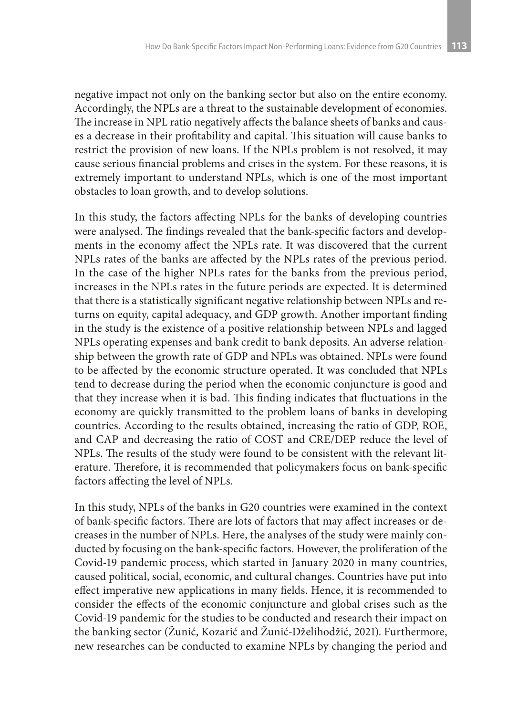negative impact not only on the banking sector but also on the entire economy. Accordingly, the NPLs are a threat to the sustainable development of economies. The increase in NPL ratio negatively affects the balance sheets of banks and causes a decrease in their profitability and capital. This situation will cause banks to restrict the provision of new loans. If the NPLs problem is not resolved, it may cause serious financial problems and crises in the system. For these reasons, it is extremely important to understand NPLs, which is one of the most important obstacles to loan growth, and to develop solutions.

In this study, the factors affecting NPLs for the banks of developing countries were analysed. The findings revealed that the bank-specific factors and developments in the economy affect the NPLs rate. It was discovered that the current NPLs rates of the banks are affected by the NPLs rates of the previous period. In the case of the higher NPLs rates for the banks from the previous period, increases in the NPLs rates in the future periods are expected. It is determined that there is a statistically significant negative relationship between NPLs and returns on equity, capital adequacy, and GDP growth. Another important finding in the study is the existence of a positive relationship between NPLs and lagged NPLs operating expenses and bank credit to bank deposits. An adverse relationship between the growth rate of GDP and NPLs was obtained. NPLs were found to be affected by the economic structure operated. It was concluded that NPLs tend to decrease during the period when the economic conjuncture is good and that they increase when it is bad. This finding indicates that fluctuations in the economy are quickly transmitted to the problem loans of banks in developing countries. According to the results obtained, increasing the ratio of GDP, ROE, and CAP and decreasing the ratio of COST and CRE/DEP reduce the level of NPLs. The results of the study were found to be consistent with the relevant literature. Therefore, it is recommended that policymakers focus on bank-specific factors affecting the level of NPLs.

In this study, NPLs of the banks in G20 countries were examined in the context of bank-specific factors. There are lots of factors that may affect increases or decreases in the number of NPLs. Here, the analyses of the study were mainly conducted by focusing on the bank-specific factors. However, the proliferation of the Covid-19 pandemic process, which started in January 2020 in many countries, caused political, social, economic, and cultural changes. Countries have put into effect imperative new applications in many fields. Hence, it is recommended to consider the effects of the economic conjuncture and global crises such as the Covid-19 pandemic for the studies to be conducted and research their impact on the banking sector (Žunić, Kozarić and Žunić-Dželihodžić, 2021). Furthermore, new researches can be conducted to examine NPLs by changing the period and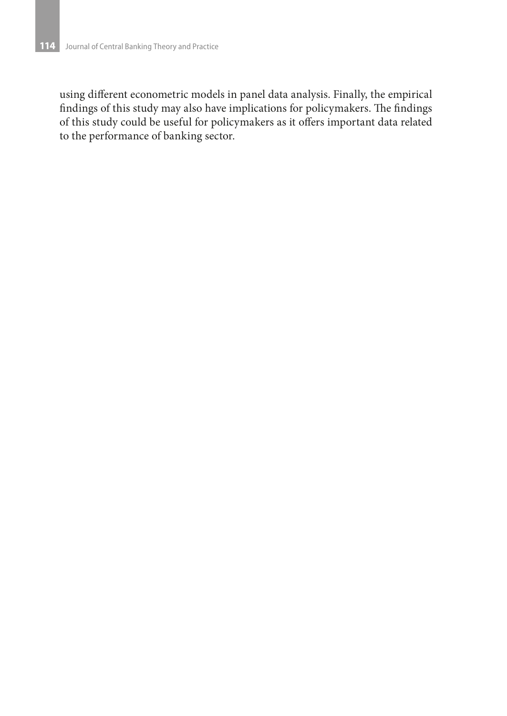using different econometric models in panel data analysis. Finally, the empirical findings of this study may also have implications for policymakers. The findings of this study could be useful for policymakers as it offers important data related to the performance of banking sector.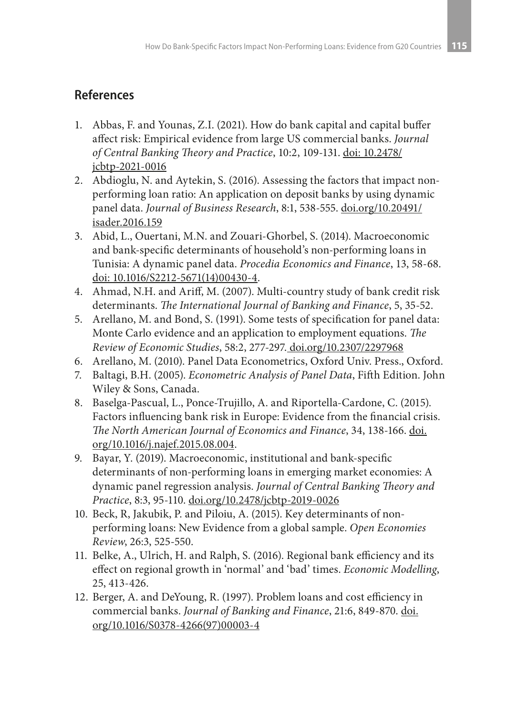# **References**

- 1. Abbas, F. and Younas, Z.I. (2021). How do bank capital and capital buffer affect risk: Empirical evidence from large US commercial banks. *Journal of Central Banking Theory and Practice*, 10:2, 109-131. doi: 10.2478/ jcbtp-2021-0016
- 2. Abdioglu, N. and Aytekin, S. (2016). Assessing the factors that impact nonperforming loan ratio: An application on deposit banks by using dynamic panel data. *Journal of Business Research*, 8:1, 538-555. doi.org/10.20491/ isader.2016.159
- 3. Abid, L., Ouertani, M.N. and Zouari-Ghorbel, S. (2014). Macroeconomic and bank-specific determinants of household's non-performing loans in Tunisia: A dynamic panel data. *Procedia Economics and Finance*, 13, 58-68. doi: 10.1016/S2212-5671(14)00430-4.
- 4. Ahmad, N.H. and Ariff, M. (2007). Multi-country study of bank credit risk determinants. *The International Journal of Banking and Finance*, 5, 35-52.
- 5. Arellano, M. and Bond, S. (1991). Some tests of specification for panel data: Monte Carlo evidence and an application to employment equations. *The Review of Economic Studies*, 58:2, 277-297. doi.org/10.2307/2297968
- 6. Arellano, M. (2010). Panel Data Econometrics, Oxford Univ. Press., Oxford.
- 7. Baltagi, B.H. (2005). *Econometric Analysis of Panel Data*, Fifth Edition. John Wiley & Sons, Canada.
- 8. Baselga-Pascual, L., Ponce-Trujillo, A. and Riportella-Cardone, C. (2015). Factors influencing bank risk in Europe: Evidence from the financial crisis. *The North American Journal of Economics and Finance*, 34, 138-166. doi. org/10.1016/j.najef.2015.08.004.
- 9. Bayar, Y. (2019). Macroeconomic, institutional and bank-specific determinants of non-performing loans in emerging market economies: A dynamic panel regression analysis. *Journal of Central Banking Theory and Practice*, 8:3, 95-110. doi.org/10.2478/jcbtp-2019-0026
- 10. Beck, R, Jakubik, P. and Piloiu, A. (2015). Key determinants of nonperforming loans: New Evidence from a global sample. *Open Economies Review*, 26:3, 525-550.
- 11. Belke, A., Ulrich, H. and Ralph, S. (2016). Regional bank efficiency and its effect on regional growth in 'normal' and 'bad' times. *Economic Modelling*, 25, 413-426.
- 12. Berger, A. and DeYoung, R. (1997). Problem loans and cost efficiency in commercial banks. *Journal of Banking and Finance*, 21:6, 849-870. doi. org/10.1016/S0378-4266(97)00003-4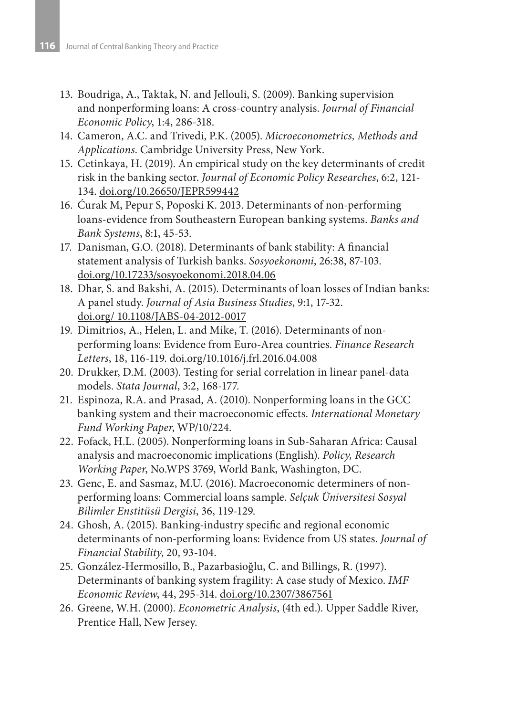- 13. Boudriga, A., Taktak, N. and Jellouli, S. (2009). Banking supervision and nonperforming loans: A cross-country analysis. *Journal of Financial Economic Policy*, 1:4, 286-318.
- 14. Cameron, A.C. and Trivedi, P.K. (2005). *Microeconometrics, Methods and Applications*. Cambridge University Press, New York.
- 15. Cetinkaya, H. (2019). An empirical study on the key determinants of credit risk in the banking sector. *Journal of Economic Policy Researches*, 6:2, 121- 134. doi.org/10.26650/JEPR599442
- 16. Ćurak M, Pepur S, Poposki K. 2013. Determinants of non-performing loans-evidence from Southeastern European banking systems. *Banks and Bank Systems*, 8:1, 45-53.
- 17. Danisman, G.O. (2018). Determinants of bank stability: A financial statement analysis of Turkish banks. *Sosyoekonomi*, 26:38, 87-103. doi.org/10.17233/sosyoekonomi.2018.04.06
- 18. Dhar, S. and Bakshi, A. (2015). Determinants of loan losses of Indian banks: A panel study. *Journal of Asia Business Studies*, 9:1, 17-32. doi.org/ 10.1108/JABS-04-2012-0017
- 19. Dimitrios, A., Helen, L. and Mike, T. (2016). Determinants of nonperforming loans: Evidence from Euro-Area countries. *Finance Research Letters*, 18, 116-119. doi.org/10.1016/j.frl.2016.04.008
- 20. Drukker, D.M. (2003). Testing for serial correlation in linear panel-data models. *Stata Journal*, 3:2, 168-177.
- 21. Espinoza, R.A. and Prasad, A. (2010). Nonperforming loans in the GCC banking system and their macroeconomic effects. *International Monetary Fund Working Paper*, WP/10/224.
- 22. Fofack, H.L. (2005). Nonperforming loans in Sub-Saharan Africa: Causal analysis and macroeconomic implications (English). *Policy, Research Working Paper*, No.WPS 3769, World Bank, Washington, DC.
- 23. Genc, E. and Sasmaz, M.U. (2016). Macroeconomic determiners of nonperforming loans: Commercial loans sample. *Selçuk Üniversitesi Sosyal Bilimler Enstitüsü Dergisi*, 36, 119-129.
- 24. Ghosh, A. (2015). Banking-industry specific and regional economic determinants of non-performing loans: Evidence from US states. *Journal of Financial Stability*, 20, 93-104.
- 25. González-Hermosillo, B., Pazarbasioğlu, C. and Billings, R. (1997). Determinants of banking system fragility: A case study of Mexico. *IMF Economic Review*, 44, 295-314. doi.org/10.2307/3867561
- 26. Greene, W.H. (2000). *Econometric Analysis*, (4th ed.). Upper Saddle River, Prentice Hall, New Jersey.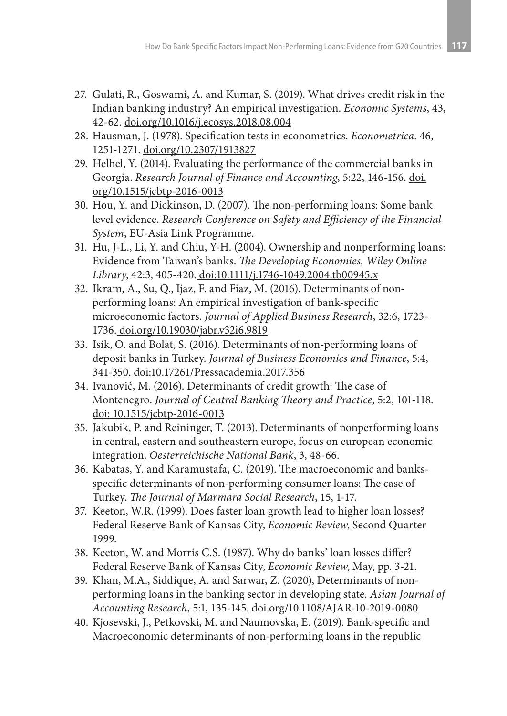- 27. Gulati, R., Goswami, A. and Kumar, S. (2019). What drives credit risk in the Indian banking industry? An empirical investigation. *Economic Systems*, 43, 42-62. doi.org/10.1016/j.ecosys.2018.08.004
- 28. Hausman, J. (1978). Specification tests in econometrics. *Econometrica*. 46, 1251-1271. doi.org/10.2307/1913827
- 29. Helhel, Y. (2014). Evaluating the performance of the commercial banks in Georgia. *Research Journal of Finance and Accounting*, 5:22, 146-156. doi. org/10.1515/jcbtp-2016-0013
- 30. Hou, Y. and Dickinson, D. (2007). The non-performing loans: Some bank level evidence. *Research Conference on Safety and Efficiency of the Financial System*, EU-Asia Link Programme.
- 31. Hu, J-L., Li, Y. and Chiu, Y-H. (2004). Ownership and nonperforming loans: Evidence from Taiwan's banks. *The Developing Economies, Wiley Online Library*, 42:3, 405-420. doi:10.1111/j.1746-1049.2004.tb00945.x
- 32. Ikram, A., Su, Q., Ijaz, F. and Fiaz, M. (2016). Determinants of nonperforming loans: An empirical investigation of bank-specific microeconomic factors. *Journal of Applied Business Research*, 32:6, 1723- 1736. doi.org/10.19030/jabr.v32i6.9819
- 33. Isik, O. and Bolat, S. (2016). Determinants of non-performing loans of deposit banks in Turkey. *Journal of Business Economics and Finance*, 5:4, 341-350. doi:10.17261/Pressacademia.2017.356
- 34. Ivanović, M. (2016). Determinants of credit growth: The case of Montenegro. *Journal of Central Banking Theory and Practice*, 5:2, 101-118. doi: 10.1515/jcbtp-2016-0013
- 35. Jakubik, P. and Reininger, T. (2013). Determinants of nonperforming loans in central, eastern and southeastern europe, focus on european economic integration. *Oesterreichische National Bank*, 3, 48-66.
- 36. Kabatas, Y. and Karamustafa, C. (2019). The macroeconomic and banksspecific determinants of non-performing consumer loans: The case of Turkey. *The Journal of Marmara Social Research*, 15, 1-17.
- 37. Keeton, W.R. (1999). Does faster loan growth lead to higher loan losses? Federal Reserve Bank of Kansas City, *Economic Review*, Second Quarter 1999.
- 38. Keeton, W. and Morris C.S. (1987). Why do banks' loan losses differ? Federal Reserve Bank of Kansas City, *Economic Review*, May, pp. 3-21.
- 39. Khan, M.A., Siddique, A. and Sarwar, Z. (2020), Determinants of nonperforming loans in the banking sector in developing state. *Asian Journal of Accounting Research*, 5:1, 135-145. doi.org/10.1108/AJAR-10-2019-0080
- 40. Kjosevski, J., Petkovski, M. and Naumovska, E. (2019). Bank-specific and Macroeconomic determinants of non-performing loans in the republic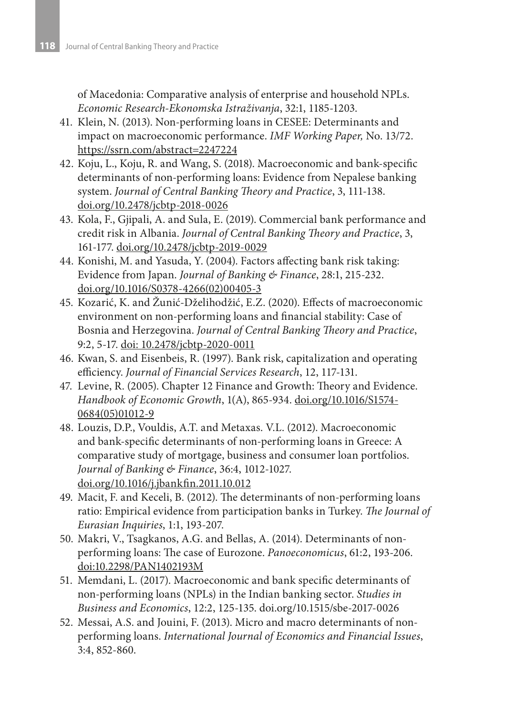of Macedonia: Comparative analysis of enterprise and household NPLs. *Economic Research-Ekonomska Istraživanja*, 32:1, 1185-1203.

- 41. Klein, N. (2013). Non-performing loans in CESEE: Determinants and impact on macroeconomic performance. *IMF Working Paper,* No. 13/72. https://ssrn.com/abstract=2247224
- 42. Koju, L., Koju, R. and Wang, S. (2018). Macroeconomic and bank-specific determinants of non-performing loans: Evidence from Nepalese banking system. *Journal of Central Banking Theory and Practice*, 3, 111-138. doi.org/10.2478/jcbtp-2018-0026
- 43. Kola, F., Gjipali, A. and Sula, E. (2019). Commercial bank performance and credit risk in Albania. *Journal of Central Banking Theory and Practice*, 3, 161-177. doi.org/10.2478/jcbtp-2019-0029
- 44. Konishi, M. and Yasuda, Y. (2004). Factors affecting bank risk taking: Evidence from Japan. *Journal of Banking & Finance*, 28:1, 215-232. doi.org/10.1016/S0378-4266(02)00405-3
- 45. Kozarić, K. and Žunić-Dželihodžić, E.Z. (2020). Effects of macroeconomic environment on non-performing loans and financial stability: Case of Bosnia and Herzegovina. *Journal of Central Banking Theory and Practice*, 9:2, 5-17. doi: 10.2478/jcbtp-2020-0011
- 46. Kwan, S. and Eisenbeis, R. (1997). Bank risk, capitalization and operating efficiency. *Journal of Financial Services Research*, 12, 117-131.
- 47. Levine, R. (2005). Chapter 12 Finance and Growth: Theory and Evidence. *Handbook of Economic Growth*, 1(A), 865-934. doi.org/10.1016/S1574- 0684(05)01012-9
- 48. Louzis, D.P., Vouldis, A.T. and Metaxas. V.L. (2012). Macroeconomic and bank-specific determinants of non-performing loans in Greece: A comparative study of mortgage, business and consumer loan portfolios. *Journal of Banking & Finance*, 36:4, 1012-1027. doi.org/10.1016/j.jbankfin.2011.10.012
- 49. Macit, F. and Keceli, B. (2012). The determinants of non-performing loans ratio: Empirical evidence from participation banks in Turkey. *The Journal of Eurasian Inquiries*, 1:1, 193-207.
- 50. Makri, V., Tsagkanos, A.G. and Bellas, A. (2014). Determinants of nonperforming loans: The case of Eurozone. *Panoeconomicus*, 61:2, 193-206. doi:10.2298/PAN1402193M
- 51. Memdani, L. (2017). Macroeconomic and bank specific determinants of non-performing loans (NPLs) in the Indian banking sector. *Studies in Business and Economics*, 12:2, 125-135. doi.org/10.1515/sbe-2017-0026
- 52. Messai, A.S. and Jouini, F. (2013). Micro and macro determinants of nonperforming loans. *International Journal of Economics and Financial Issues*, 3:4, 852-860.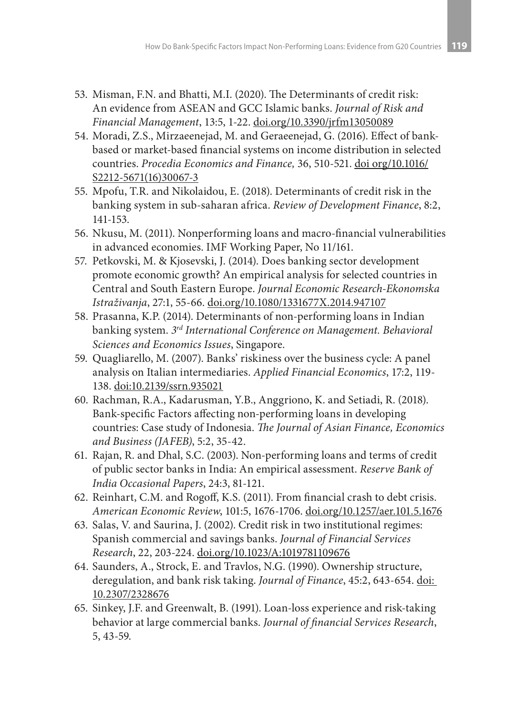- 53. Misman, F.N. and Bhatti, M.I. (2020). The Determinants of credit risk: An evidence from ASEAN and GCC Islamic banks. *Journal of Risk and Financial Management*, 13:5, 1-22. doi.org/10.3390/jrfm13050089
- 54. Moradi, Z.S., Mirzaeenejad, M. and Geraeenejad, G. (2016). Effect of bankbased or market-based financial systems on income distribution in selected countries. *Procedia Economics and Finance,* 36, 510-521. doi org/10.1016/ S2212-5671(16)30067-3
- 55. Mpofu, T.R. and Nikolaidou, E. (2018). Determinants of credit risk in the banking system in sub-saharan africa. *Review of Development Finance*, 8:2, 141-153.
- 56. Nkusu, M. (2011). Nonperforming loans and macro-financial vulnerabilities in advanced economies. IMF Working Paper, No 11/161.
- 57. Petkovski, M. & Kjosevski, J. (2014). Does banking sector development promote economic growth? An empirical analysis for selected countries in Central and South Eastern Europe. *Journal Economic Research-Ekonomska Istraživanja*, 27:1, 55-66. doi.org/10.1080/1331677X.2014.947107
- 58. Prasanna, K.P. (2014). Determinants of non-performing loans in Indian banking system. *3rd International Conference on Management. Behavioral Sciences and Economics Issues*, Singapore.
- 59. Quagliarello, M. (2007). Banks' riskiness over the business cycle: A panel analysis on Italian intermediaries. *Applied Financial Economics*, 17:2, 119- 138. doi:10.2139/ssrn.935021
- 60. Rachman, R.A., Kadarusman, Y.B., Anggriono, K. and Setiadi, R. (2018). Bank-specific Factors affecting non-performing loans in developing countries: Case study of Indonesia. *The Journal of Asian Finance, Economics and Business (JAFEB)*, 5:2, 35-42.
- 61. Rajan, R. and Dhal, S.C. (2003). Non-performing loans and terms of credit of public sector banks in India: An empirical assessment. *Reserve Bank of India Occasional Papers*, 24:3, 81-121.
- 62. Reinhart, C.M. and Rogoff, K.S. (2011). From financial crash to debt crisis. *American Economic Review*, 101:5, 1676-1706. doi.org/10.1257/aer.101.5.1676
- 63. Salas, V. and Saurina, J. (2002). Credit risk in two institutional regimes: Spanish commercial and savings banks. *Journal of Financial Services Research*, 22, 203-224. doi.org/10.1023/A:1019781109676
- 64. Saunders, A., Strock, E. and Travlos, N.G. (1990). Ownership structure, deregulation, and bank risk taking. *Journal of Finance*, 45:2, 643-654. doi: 10.2307/2328676
- 65. Sinkey, J.F. and Greenwalt, B. (1991). Loan-loss experience and risk-taking behavior at large commercial banks. *Journal of financial Services Research*, 5, 43-59.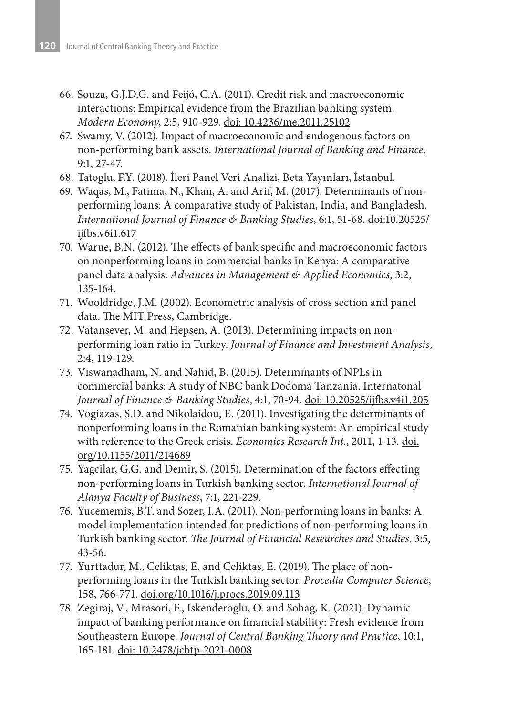- 66. Souza, G.J.D.G. and Feijó, C.A. (2011). Credit risk and macroeconomic interactions: Empirical evidence from the Brazilian banking system. *Modern Economy*, 2:5, 910-929. doi: 10.4236/me.2011.25102
- 67. Swamy, V. (2012). Impact of macroeconomic and endogenous factors on non-performing bank assets. *International Journal of Banking and Finance*, 9:1, 27-47.
- 68. Tatoglu, F.Y. (2018). İleri Panel Veri Analizi, Beta Yayınları, İstanbul.
- 69. Waqas, M., Fatima, N., Khan, A. and Arif, M. (2017). Determinants of nonperforming loans: A comparative study of Pakistan, India, and Bangladesh. *International Journal of Finance & Banking Studies*, 6:1, 51-68. doi:10.20525/ ijfbs.v6i1.617
- 70. Warue, B.N. (2012). The effects of bank specific and macroeconomic factors on nonperforming loans in commercial banks in Kenya: A comparative panel data analysis. *Advances in Management & Applied Economics*, 3:2, 135-164.
- 71. Wooldridge, J.M. (2002). Econometric analysis of cross section and panel data. The MIT Press, Cambridge.
- 72. Vatansever, M. and Hepsen, A. (2013). Determining impacts on nonperforming loan ratio in Turkey. *Journal of Finance and Investment Analysis*, 2:4, 119-129.
- 73. Viswanadham, N. and Nahid, B. (2015). Determinants of NPLs in commercial banks: A study of NBC bank Dodoma Tanzania. Internatonal *Journal of Finance & Banking Studies*, 4:1, 70-94. doi: 10.20525/ijfbs.v4i1.205
- 74. Vogiazas, S.D. and Nikolaidou, E. (2011). Investigating the determinants of nonperforming loans in the Romanian banking system: An empirical study with reference to the Greek crisis. *Economics Research Int.*, 2011, 1-13. doi. org/10.1155/2011/214689
- 75. Yagcilar, G.G. and Demir, S. (2015). Determination of the factors effecting non-performing loans in Turkish banking sector. *International Journal of Alanya Faculty of Business*, 7:1, 221-229.
- 76. Yucememis, B.T. and Sozer, I.A. (2011). Non-performing loans in banks: A model implementation intended for predictions of non-performing loans in Turkish banking sector. *The Journal of Financial Researches and Studies*, 3:5, 43-56.
- 77. Yurttadur, M., Celiktas, E. and Celiktas, E. (2019). The place of nonperforming loans in the Turkish banking sector. *Procedia Computer Science*, 158, 766-771. doi.org/10.1016/j.procs.2019.09.113
- 78. Zegiraj, V., Mrasori, F., Iskenderoglu, O. and Sohag, K. (2021). Dynamic impact of banking performance on financial stability: Fresh evidence from Southeastern Europe. *Journal of Central Banking Theory and Practice*, 10:1, 165-181. doi: 10.2478/jcbtp-2021-0008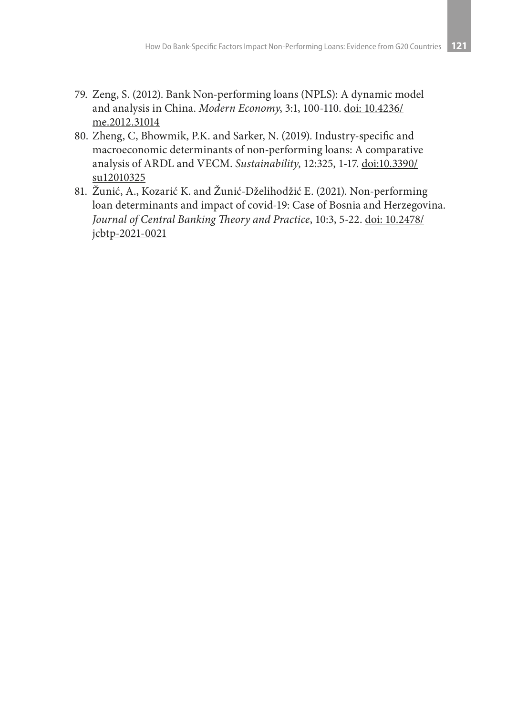- 79. Zeng, S. (2012). Bank Non-performing loans (NPLS): A dynamic model and analysis in China. *Modern Economy*, 3:1, 100-110. doi: 10.4236/ me.2012.31014
- 80. Zheng, C, Bhowmik, P.K. and Sarker, N. (2019). Industry-specific and macroeconomic determinants of non-performing loans: A comparative analysis of ARDL and VECM. *Sustainability*, 12:325, 1-17. doi:10.3390/ su12010325
- 81. Žunić, A., Kozarić K. and Žunić-Dželihodžić E. (2021). Non-performing loan determinants and impact of covid-19: Case of Bosnia and Herzegovina. *Journal of Central Banking Theory and Practice*, 10:3, 5-22. doi: 10.2478/ jcbtp-2021-0021